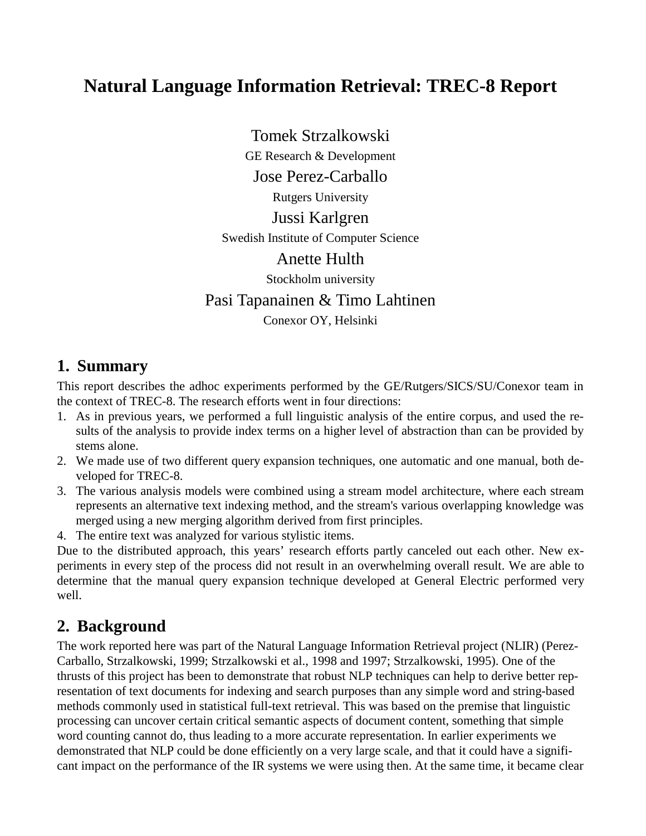# **Natural Language Information Retrieval: TREC-8 Report**

Tomek Strzalkowski GE Research & Development Jose Perez-Carballo Rutgers University Jussi Karlgren Swedish Institute of Computer Science Anette Hulth Stockholm university Pasi Tapanainen & Timo Lahtinen Conexor OY, Helsinki

## **1. Summary**

This report describes the adhoc experiments performed by the GE/Rutgers/SICS/SU/Conexor team in the context of TREC-8. The research efforts went in four directions:

- 1. As in previous years, we performed a full linguistic analysis of the entire corpus, and used the results of the analysis to provide index terms on a higher level of abstraction than can be provided by stems alone.
- 2. We made use of two different query expansion techniques, one automatic and one manual, both developed for TREC-8.
- 3. The various analysis models were combined using a stream model architecture, where each stream represents an alternative text indexing method, and the stream's various overlapping knowledge was merged using a new merging algorithm derived from first principles.
- 4. The entire text was analyzed for various stylistic items.

Due to the distributed approach, this years' research efforts partly canceled out each other. New experiments in every step of the process did not result in an overwhelming overall result. We are able to determine that the manual query expansion technique developed at General Electric performed very well.

# **2. Background**

The work reported here was part of the Natural Language Information Retrieval project (NLIR) (Perez-Carballo, Strzalkowski, 1999; Strzalkowski et al., 1998 and 1997; Strzalkowski, 1995). One of the thrusts of this project has been to demonstrate that robust NLP techniques can help to derive better representation of text documents for indexing and search purposes than any simple word and string-based methods commonly used in statistical full-text retrieval. This was based on the premise that linguistic processing can uncover certain critical semantic aspects of document content, something that simple word counting cannot do, thus leading to a more accurate representation. In earlier experiments we demonstrated that NLP could be done efficiently on a very large scale, and that it could have a significant impact on the performance of the IR systems we were using then. At the same time, it became clear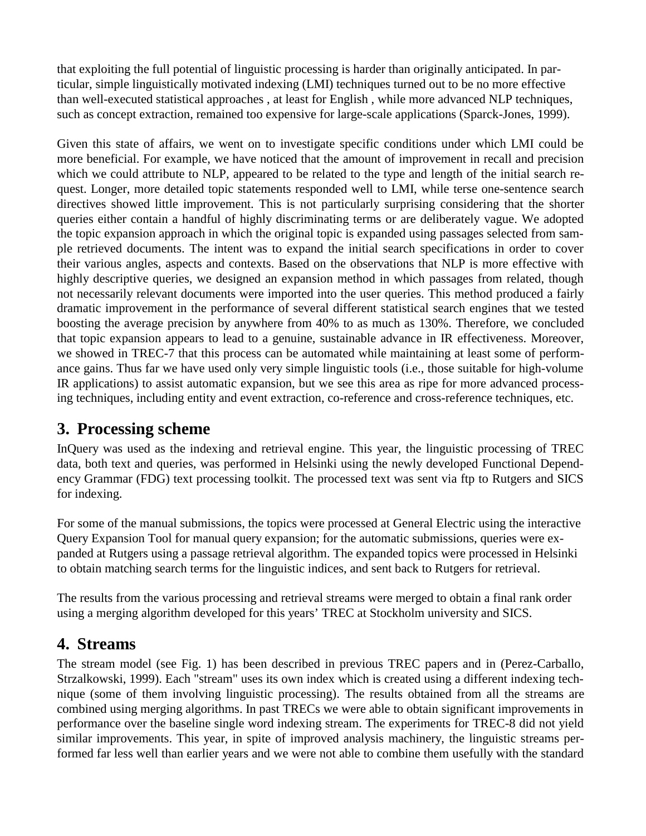that exploiting the full potential of linguistic processing is harder than originally anticipated. In particular, simple linguistically motivated indexing (LMI) techniques turned out to be no more effective than well-executed statistical approaches , at least for English , while more advanced NLP techniques, such as concept extraction, remained too expensive for large-scale applications (Sparck-Jones, 1999).

Given this state of affairs, we went on to investigate specific conditions under which LMI could be more beneficial. For example, we have noticed that the amount of improvement in recall and precision which we could attribute to NLP, appeared to be related to the type and length of the initial search request. Longer, more detailed topic statements responded well to LMI, while terse one-sentence search directives showed little improvement. This is not particularly surprising considering that the shorter queries either contain a handful of highly discriminating terms or are deliberately vague. We adopted the topic expansion approach in which the original topic is expanded using passages selected from sample retrieved documents. The intent was to expand the initial search specifications in order to cover their various angles, aspects and contexts. Based on the observations that NLP is more effective with highly descriptive queries, we designed an expansion method in which passages from related, though not necessarily relevant documents were imported into the user queries. This method produced a fairly dramatic improvement in the performance of several different statistical search engines that we tested boosting the average precision by anywhere from 40% to as much as 130%. Therefore, we concluded that topic expansion appears to lead to a genuine, sustainable advance in IR effectiveness. Moreover, we showed in TREC-7 that this process can be automated while maintaining at least some of performance gains. Thus far we have used only very simple linguistic tools (i.e., those suitable for high-volume IR applications) to assist automatic expansion, but we see this area as ripe for more advanced processing techniques, including entity and event extraction, co-reference and cross-reference techniques, etc.

# **3. Processing scheme**

InQuery was used as the indexing and retrieval engine. This year, the linguistic processing of TREC data, both text and queries, was performed in Helsinki using the newly developed Functional Dependency Grammar (FDG) text processing toolkit. The processed text was sent via ftp to Rutgers and SICS for indexing.

For some of the manual submissions, the topics were processed at General Electric using the interactive Query Expansion Tool for manual query expansion; for the automatic submissions, queries were expanded at Rutgers using a passage retrieval algorithm. The expanded topics were processed in Helsinki to obtain matching search terms for the linguistic indices, and sent back to Rutgers for retrieval.

The results from the various processing and retrieval streams were merged to obtain a final rank order using a merging algorithm developed for this years' TREC at Stockholm university and SICS.

## **4. Streams**

The stream model (see Fig. 1) has been described in previous TREC papers and in (Perez-Carballo, Strzalkowski, 1999). Each "stream" uses its own index which is created using a different indexing technique (some of them involving linguistic processing). The results obtained from all the streams are combined using merging algorithms. In past TRECs we were able to obtain significant improvements in performance over the baseline single word indexing stream. The experiments for TREC-8 did not yield similar improvements. This year, in spite of improved analysis machinery, the linguistic streams performed far less well than earlier years and we were not able to combine them usefully with the standard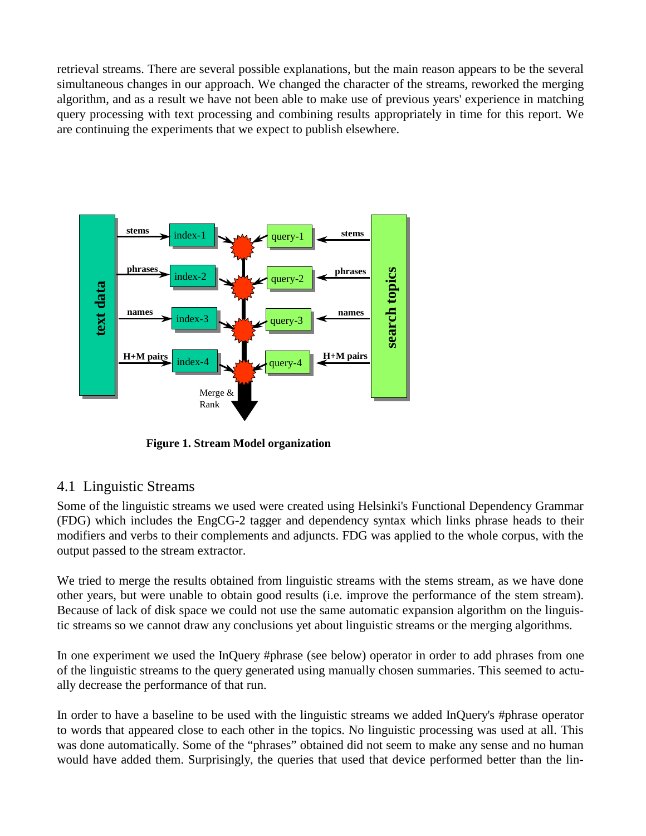retrieval streams. There are several possible explanations, but the main reason appears to be the several simultaneous changes in our approach. We changed the character of the streams, reworked the merging algorithm, and as a result we have not been able to make use of previous years' experience in matching query processing with text processing and combining results appropriately in time for this report. We are continuing the experiments that we expect to publish elsewhere.



## 4.1 Linguistic Streams

Some of the linguistic streams we used were created using Helsinki's Functional Dependency Grammar (FDG) which includes the EngCG-2 tagger and dependency syntax which links phrase heads to their modifiers and verbs to their complements and adjuncts. FDG was applied to the whole corpus, with the output passed to the stream extractor.

We tried to merge the results obtained from linguistic streams with the stems stream, as we have done other years, but were unable to obtain good results (i.e. improve the performance of the stem stream). Because of lack of disk space we could not use the same automatic expansion algorithm on the linguistic streams so we cannot draw any conclusions yet about linguistic streams or the merging algorithms.

In one experiment we used the InQuery #phrase (see below) operator in order to add phrases from one of the linguistic streams to the query generated using manually chosen summaries. This seemed to actually decrease the performance of that run.

In order to have a baseline to be used with the linguistic streams we added InQuery's #phrase operator to words that appeared close to each other in the topics. No linguistic processing was used at all. This was done automatically. Some of the "phrases" obtained did not seem to make any sense and no human would have added them. Surprisingly, the queries that used that device performed better than the lin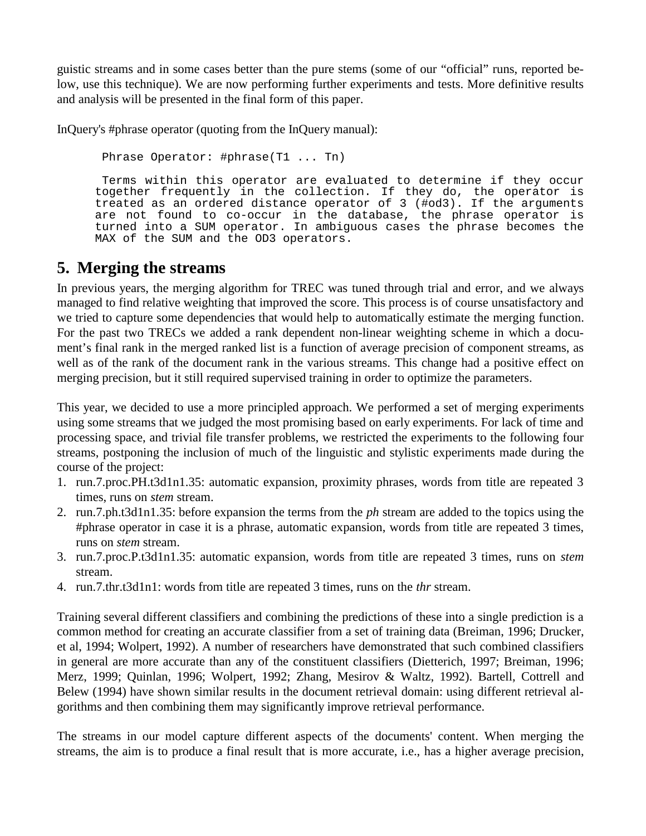guistic streams and in some cases better than the pure stems (some of our "official" runs, reported below, use this technique). We are now performing further experiments and tests. More definitive results and analysis will be presented in the final form of this paper.

InQuery's #phrase operator (quoting from the InQuery manual):

Phrase Operator: #phrase(T1 ... Tn)

 Terms within this operator are evaluated to determine if they occur together frequently in the collection. If they do, the operator is treated as an ordered distance operator of 3 (#od3). If the arguments are not found to co-occur in the database, the phrase operator is turned into a SUM operator. In ambiguous cases the phrase becomes the MAX of the SUM and the OD3 operators.

## **5. Merging the streams**

In previous years, the merging algorithm for TREC was tuned through trial and error, and we always managed to find relative weighting that improved the score. This process is of course unsatisfactory and we tried to capture some dependencies that would help to automatically estimate the merging function. For the past two TRECs we added a rank dependent non-linear weighting scheme in which a document's final rank in the merged ranked list is a function of average precision of component streams, as well as of the rank of the document rank in the various streams. This change had a positive effect on merging precision, but it still required supervised training in order to optimize the parameters.

This year, we decided to use a more principled approach. We performed a set of merging experiments using some streams that we judged the most promising based on early experiments. For lack of time and processing space, and trivial file transfer problems, we restricted the experiments to the following four streams, postponing the inclusion of much of the linguistic and stylistic experiments made during the course of the project:

- 1. run.7.proc.PH.t3d1n1.35: automatic expansion, proximity phrases, words from title are repeated 3 times, runs on *stem* stream.
- 2. run.7.ph.t3d1n1.35: before expansion the terms from the *ph* stream are added to the topics using the #phrase operator in case it is a phrase, automatic expansion, words from title are repeated 3 times, runs on *stem* stream.
- 3. run.7.proc.P.t3d1n1.35: automatic expansion, words from title are repeated 3 times, runs on *stem* stream.
- 4. run.7.thr.t3d1n1: words from title are repeated 3 times, runs on the *thr* stream.

Training several different classifiers and combining the predictions of these into a single prediction is a common method for creating an accurate classifier from a set of training data (Breiman, 1996; Drucker, et al, 1994; Wolpert, 1992). A number of researchers have demonstrated that such combined classifiers in general are more accurate than any of the constituent classifiers (Dietterich, 1997; Breiman, 1996; Merz, 1999; Quinlan, 1996; Wolpert, 1992; Zhang, Mesirov & Waltz, 1992). Bartell, Cottrell and Belew (1994) have shown similar results in the document retrieval domain: using different retrieval algorithms and then combining them may significantly improve retrieval performance.

The streams in our model capture different aspects of the documents' content. When merging the streams, the aim is to produce a final result that is more accurate, i.e., has a higher average precision,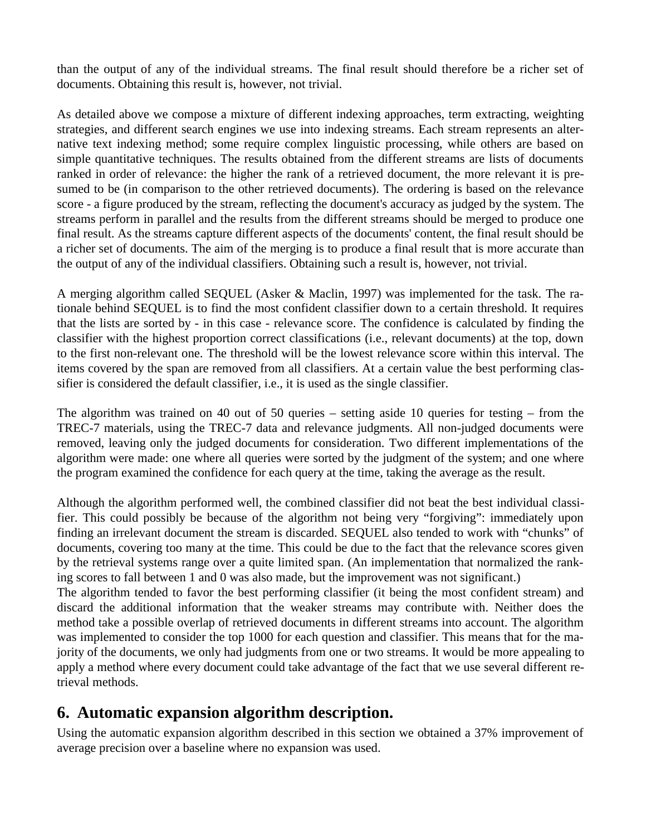than the output of any of the individual streams. The final result should therefore be a richer set of documents. Obtaining this result is, however, not trivial.

As detailed above we compose a mixture of different indexing approaches, term extracting, weighting strategies, and different search engines we use into indexing streams. Each stream represents an alternative text indexing method; some require complex linguistic processing, while others are based on simple quantitative techniques. The results obtained from the different streams are lists of documents ranked in order of relevance: the higher the rank of a retrieved document, the more relevant it is presumed to be (in comparison to the other retrieved documents). The ordering is based on the relevance score - a figure produced by the stream, reflecting the document's accuracy as judged by the system. The streams perform in parallel and the results from the different streams should be merged to produce one final result. As the streams capture different aspects of the documents' content, the final result should be a richer set of documents. The aim of the merging is to produce a final result that is more accurate than the output of any of the individual classifiers. Obtaining such a result is, however, not trivial.

A merging algorithm called SEQUEL (Asker & Maclin, 1997) was implemented for the task. The rationale behind SEQUEL is to find the most confident classifier down to a certain threshold. It requires that the lists are sorted by - in this case - relevance score. The confidence is calculated by finding the classifier with the highest proportion correct classifications (i.e., relevant documents) at the top, down to the first non-relevant one. The threshold will be the lowest relevance score within this interval. The items covered by the span are removed from all classifiers. At a certain value the best performing classifier is considered the default classifier, i.e., it is used as the single classifier.

The algorithm was trained on 40 out of 50 queries – setting aside 10 queries for testing – from the TREC-7 materials, using the TREC-7 data and relevance judgments. All non-judged documents were removed, leaving only the judged documents for consideration. Two different implementations of the algorithm were made: one where all queries were sorted by the judgment of the system; and one where the program examined the confidence for each query at the time, taking the average as the result.

Although the algorithm performed well, the combined classifier did not beat the best individual classifier. This could possibly be because of the algorithm not being very "forgiving": immediately upon finding an irrelevant document the stream is discarded. SEQUEL also tended to work with "chunks" of documents, covering too many at the time. This could be due to the fact that the relevance scores given by the retrieval systems range over a quite limited span. (An implementation that normalized the ranking scores to fall between 1 and 0 was also made, but the improvement was not significant.)

The algorithm tended to favor the best performing classifier (it being the most confident stream) and discard the additional information that the weaker streams may contribute with. Neither does the method take a possible overlap of retrieved documents in different streams into account. The algorithm was implemented to consider the top 1000 for each question and classifier. This means that for the majority of the documents, we only had judgments from one or two streams. It would be more appealing to apply a method where every document could take advantage of the fact that we use several different retrieval methods.

# **6. Automatic expansion algorithm description.**

Using the automatic expansion algorithm described in this section we obtained a 37% improvement of average precision over a baseline where no expansion was used.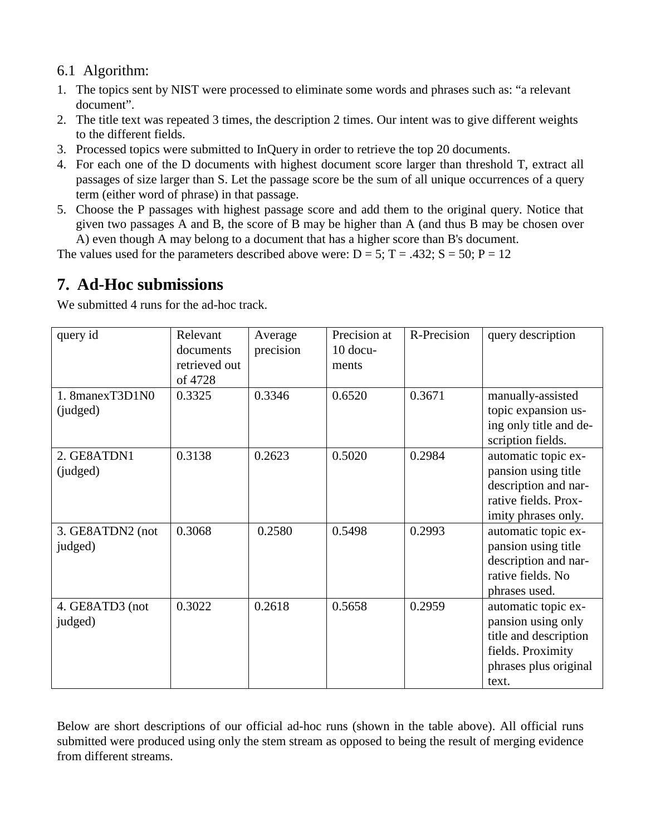## 6.1 Algorithm:

- 1. The topics sent by NIST were processed to eliminate some words and phrases such as: "a relevant document".
- 2. The title text was repeated 3 times, the description 2 times. Our intent was to give different weights to the different fields.
- 3. Processed topics were submitted to InQuery in order to retrieve the top 20 documents.
- 4. For each one of the D documents with highest document score larger than threshold T, extract all passages of size larger than S. Let the passage score be the sum of all unique occurrences of a query term (either word of phrase) in that passage.
- 5. Choose the P passages with highest passage score and add them to the original query. Notice that given two passages A and B, the score of B may be higher than A (and thus B may be chosen over A) even though A may belong to a document that has a higher score than B's document.

The values used for the parameters described above were:  $D = 5$ ;  $T = .432$ ;  $S = 50$ ;  $P = 12$ 

# **7. Ad-Hoc submissions**

We submitted 4 runs for the ad-hoc track.

| query id         | Relevant      | Average   | Precision at | R-Precision | query description      |
|------------------|---------------|-----------|--------------|-------------|------------------------|
|                  | documents     | precision | $10$ docu-   |             |                        |
|                  | retrieved out |           | ments        |             |                        |
|                  | of 4728       |           |              |             |                        |
| 1. 8manexT3D1N0  | 0.3325        | 0.3346    | 0.6520       | 0.3671      | manually-assisted      |
| (judged)         |               |           |              |             | topic expansion us-    |
|                  |               |           |              |             | ing only title and de- |
|                  |               |           |              |             | scription fields.      |
| 2. GE8ATDN1      | 0.3138        | 0.2623    | 0.5020       | 0.2984      | automatic topic ex-    |
| (judged)         |               |           |              |             | pansion using title    |
|                  |               |           |              |             | description and nar-   |
|                  |               |           |              |             | rative fields. Prox-   |
|                  |               |           |              |             | imity phrases only.    |
| 3. GE8ATDN2 (not | 0.3068        | 0.2580    | 0.5498       | 0.2993      | automatic topic ex-    |
| judged)          |               |           |              |             | pansion using title    |
|                  |               |           |              |             | description and nar-   |
|                  |               |           |              |             | rative fields. No      |
|                  |               |           |              |             | phrases used.          |
| 4. GE8ATD3 (not  | 0.3022        | 0.2618    | 0.5658       | 0.2959      | automatic topic ex-    |
| judged)          |               |           |              |             | pansion using only     |
|                  |               |           |              |             | title and description  |
|                  |               |           |              |             | fields. Proximity      |
|                  |               |           |              |             | phrases plus original  |
|                  |               |           |              |             | text.                  |

Below are short descriptions of our official ad-hoc runs (shown in the table above). All official runs submitted were produced using only the stem stream as opposed to being the result of merging evidence from different streams.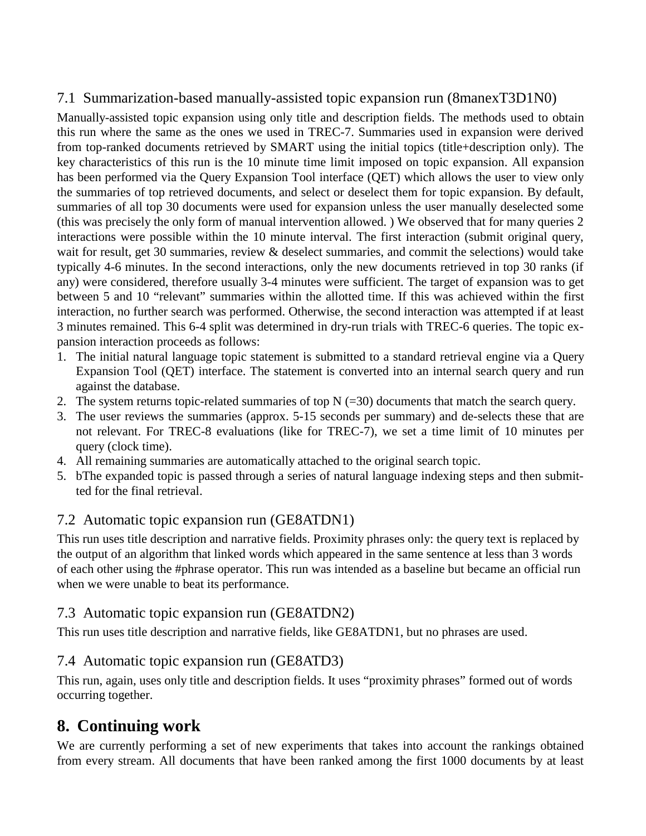## 7.1 Summarization-based manually-assisted topic expansion run (8manexT3D1N0)

Manually-assisted topic expansion using only title and description fields. The methods used to obtain this run where the same as the ones we used in TREC-7. Summaries used in expansion were derived from top-ranked documents retrieved by SMART using the initial topics (title+description only). The key characteristics of this run is the 10 minute time limit imposed on topic expansion. All expansion has been performed via the Query Expansion Tool interface (QET) which allows the user to view only the summaries of top retrieved documents, and select or deselect them for topic expansion. By default, summaries of all top 30 documents were used for expansion unless the user manually deselected some (this was precisely the only form of manual intervention allowed. ) We observed that for many queries 2 interactions were possible within the 10 minute interval. The first interaction (submit original query, wait for result, get 30 summaries, review & deselect summaries, and commit the selections) would take typically 4-6 minutes. In the second interactions, only the new documents retrieved in top 30 ranks (if any) were considered, therefore usually 3-4 minutes were sufficient. The target of expansion was to get between 5 and 10 "relevant" summaries within the allotted time. If this was achieved within the first interaction, no further search was performed. Otherwise, the second interaction was attempted if at least 3 minutes remained. This 6-4 split was determined in dry-run trials with TREC-6 queries. The topic expansion interaction proceeds as follows:

- 1. The initial natural language topic statement is submitted to a standard retrieval engine via a Query Expansion Tool (QET) interface. The statement is converted into an internal search query and run against the database.
- 2. The system returns topic-related summaries of top  $N$  (=30) documents that match the search query.
- 3. The user reviews the summaries (approx. 5-15 seconds per summary) and de-selects these that are not relevant. For TREC-8 evaluations (like for TREC-7), we set a time limit of 10 minutes per query (clock time).
- 4. All remaining summaries are automatically attached to the original search topic.
- 5. bThe expanded topic is passed through a series of natural language indexing steps and then submitted for the final retrieval.

## 7.2 Automatic topic expansion run (GE8ATDN1)

This run uses title description and narrative fields. Proximity phrases only: the query text is replaced by the output of an algorithm that linked words which appeared in the same sentence at less than 3 words of each other using the #phrase operator. This run was intended as a baseline but became an official run when we were unable to beat its performance.

#### 7.3 Automatic topic expansion run (GE8ATDN2)

This run uses title description and narrative fields, like GE8ATDN1, but no phrases are used.

## 7.4 Automatic topic expansion run (GE8ATD3)

This run, again, uses only title and description fields. It uses "proximity phrases" formed out of words occurring together.

# **8. Continuing work**

We are currently performing a set of new experiments that takes into account the rankings obtained from every stream. All documents that have been ranked among the first 1000 documents by at least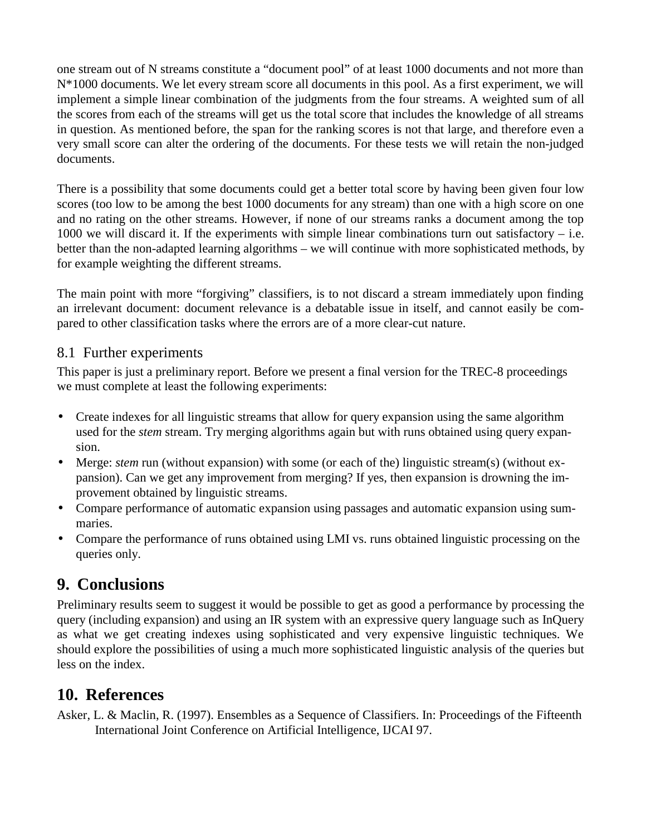one stream out of N streams constitute a "document pool" of at least 1000 documents and not more than N\*1000 documents. We let every stream score all documents in this pool. As a first experiment, we will implement a simple linear combination of the judgments from the four streams. A weighted sum of all the scores from each of the streams will get us the total score that includes the knowledge of all streams in question. As mentioned before, the span for the ranking scores is not that large, and therefore even a very small score can alter the ordering of the documents. For these tests we will retain the non-judged documents.

There is a possibility that some documents could get a better total score by having been given four low scores (too low to be among the best 1000 documents for any stream) than one with a high score on one and no rating on the other streams. However, if none of our streams ranks a document among the top 1000 we will discard it. If the experiments with simple linear combinations turn out satisfactory – i.e. better than the non-adapted learning algorithms – we will continue with more sophisticated methods, by for example weighting the different streams.

The main point with more "forgiving" classifiers, is to not discard a stream immediately upon finding an irrelevant document: document relevance is a debatable issue in itself, and cannot easily be compared to other classification tasks where the errors are of a more clear-cut nature.

#### 8.1 Further experiments

This paper is just a preliminary report. Before we present a final version for the TREC-8 proceedings we must complete at least the following experiments:

- Create indexes for all linguistic streams that allow for query expansion using the same algorithm used for the *stem* stream. Try merging algorithms again but with runs obtained using query expansion.
- Merge: *stem* run (without expansion) with some (or each of the) linguistic stream(s) (without expansion). Can we get any improvement from merging? If yes, then expansion is drowning the improvement obtained by linguistic streams.
- Compare performance of automatic expansion using passages and automatic expansion using summaries.
- Compare the performance of runs obtained using LMI vs. runs obtained linguistic processing on the queries only.

# **9. Conclusions**

Preliminary results seem to suggest it would be possible to get as good a performance by processing the query (including expansion) and using an IR system with an expressive query language such as InQuery as what we get creating indexes using sophisticated and very expensive linguistic techniques. We should explore the possibilities of using a much more sophisticated linguistic analysis of the queries but less on the index.

# **10. References**

Asker, L. & Maclin, R. (1997). Ensembles as a Sequence of Classifiers. In: Proceedings of the Fifteenth International Joint Conference on Artificial Intelligence, IJCAI 97.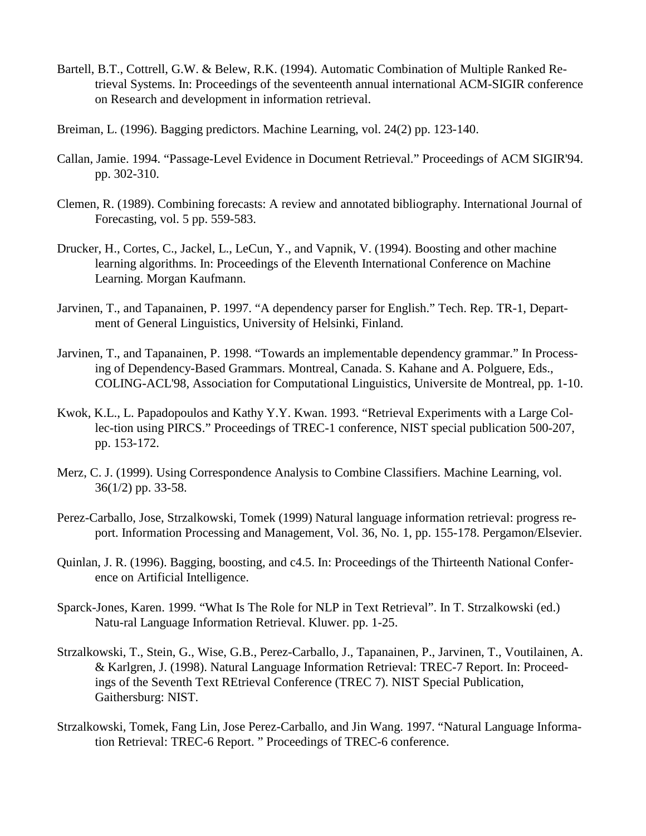- Bartell, B.T., Cottrell, G.W. & Belew, R.K. (1994). Automatic Combination of Multiple Ranked Retrieval Systems. In: Proceedings of the seventeenth annual international ACM-SIGIR conference on Research and development in information retrieval.
- Breiman, L. (1996). Bagging predictors. Machine Learning, vol. 24(2) pp. 123-140.
- Callan, Jamie. 1994. "Passage-Level Evidence in Document Retrieval." Proceedings of ACM SIGIR'94. pp. 302-310.
- Clemen, R. (1989). Combining forecasts: A review and annotated bibliography. International Journal of Forecasting, vol. 5 pp. 559-583.
- Drucker, H., Cortes, C., Jackel, L., LeCun, Y., and Vapnik, V. (1994). Boosting and other machine learning algorithms. In: Proceedings of the Eleventh International Conference on Machine Learning. Morgan Kaufmann.
- Jarvinen, T., and Tapanainen, P. 1997. "A dependency parser for English." Tech. Rep. TR-1, Department of General Linguistics, University of Helsinki, Finland.
- Jarvinen, T., and Tapanainen, P. 1998. "Towards an implementable dependency grammar." In Processing of Dependency-Based Grammars. Montreal, Canada. S. Kahane and A. Polguere, Eds., COLING-ACL'98, Association for Computational Linguistics, Universite de Montreal, pp. 1-10.
- Kwok, K.L., L. Papadopoulos and Kathy Y.Y. Kwan. 1993. "Retrieval Experiments with a Large Collec-tion using PIRCS." Proceedings of TREC-1 conference, NIST special publication 500-207, pp. 153-172.
- Merz, C. J. (1999). Using Correspondence Analysis to Combine Classifiers. Machine Learning, vol. 36(1/2) pp. 33-58.
- Perez-Carballo, Jose, Strzalkowski, Tomek (1999) Natural language information retrieval: progress report. Information Processing and Management, Vol. 36, No. 1, pp. 155-178. Pergamon/Elsevier.
- Quinlan, J. R. (1996). Bagging, boosting, and c4.5. In: Proceedings of the Thirteenth National Conference on Artificial Intelligence.
- Sparck-Jones, Karen. 1999. "What Is The Role for NLP in Text Retrieval". In T. Strzalkowski (ed.) Natu-ral Language Information Retrieval. Kluwer. pp. 1-25.
- Strzalkowski, T., Stein, G., Wise, G.B., Perez-Carballo, J., Tapanainen, P., Jarvinen, T., Voutilainen, A. & Karlgren, J. (1998). Natural Language Information Retrieval: TREC-7 Report. In: Proceedings of the Seventh Text REtrieval Conference (TREC 7). NIST Special Publication, Gaithersburg: NIST.
- Strzalkowski, Tomek, Fang Lin, Jose Perez-Carballo, and Jin Wang. 1997. "Natural Language Information Retrieval: TREC-6 Report. " Proceedings of TREC-6 conference.